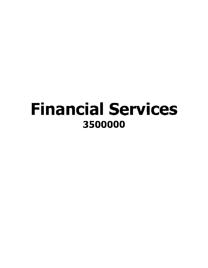# Financial Services 3500000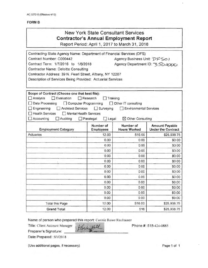# New York State Consultant Services **Contractor's Annual Employment Report**

Report Period: April 1, 2017 to March 31, 2018

| Contracting State Agency Name: Department of Financial Services (DFS)                 |                                  |                                        |                                                    |
|---------------------------------------------------------------------------------------|----------------------------------|----------------------------------------|----------------------------------------------------|
| Contract Number: C000442                                                              |                                  | Agency Business Unit: $\mathcal{DFSO}$ |                                                    |
| Contract Term: 1/7/2016 to 1/6/2018                                                   | Agency Department ID: 350 0000   |                                        |                                                    |
| <b>Contractor Name: Deloitte Consulting</b>                                           |                                  |                                        |                                                    |
| Contractor Address: 39 N. Pearl Street, Albany, NY 12207                              |                                  |                                        |                                                    |
| Description of Services Being Provided: Actuarial Services                            |                                  |                                        |                                                    |
|                                                                                       |                                  |                                        |                                                    |
| Scope of Contract (Choose one that best fits):                                        |                                  |                                        |                                                    |
| Analysis<br>Evaluation                                                                | Research<br>Training             |                                        |                                                    |
| Data Processing<br>Computer Programming                                               |                                  | Other IT consulting                    |                                                    |
| <b>Architect Services</b><br>Engineering<br>Health Services<br>Mental Health Services | $\Box$ Surveying                 | <b>Environmental Services</b>          |                                                    |
|                                                                                       |                                  |                                        |                                                    |
| Accounting<br>Auditing                                                                | $\Box$ Legal<br>$\Box$ Paralegal | ⊠ Other Consulting                     |                                                    |
| <b>Employment Category</b>                                                            | Number of<br><b>Employees</b>    | Number of<br><b>Hours Worked</b>       | <b>Amount Payable</b><br><b>Under the Contract</b> |
| Actuaries                                                                             | 12.00                            | 516.00                                 | \$25,938.75                                        |
|                                                                                       | 0.00                             | 0.00                                   | \$0.00                                             |
|                                                                                       | 0.00                             | 0.00                                   | \$0.00                                             |
|                                                                                       | 0.00                             | 0.00                                   | \$0.00                                             |
|                                                                                       | 0.00                             | 0.00                                   | \$0.00                                             |
|                                                                                       | 0.00                             | 0.00                                   | \$0.00                                             |
|                                                                                       | 0.00                             | 0.00                                   | \$0.00                                             |
|                                                                                       | 0.00                             | 0.00                                   | \$0.00                                             |
|                                                                                       | 0.00                             | 0.00                                   | \$0.00                                             |
|                                                                                       | 0.00                             | 0.00                                   | \$0.00                                             |
|                                                                                       | 0.00                             | 0.00                                   | \$0.00                                             |
|                                                                                       | 0.00                             | 0.00                                   | \$0.00                                             |
|                                                                                       | 0.00                             | 0.00                                   | \$0.00                                             |
| <b>Total this Page</b>                                                                | 12.00                            | 516.00                                 | \$25,938.75                                        |
| <b>Grand Total</b>                                                                    | 12.00                            | 516                                    | \$25,938.75                                        |

Name of person who prepared this report: Connie Rowe Rauhauscr

Title: Client Account Manager *//<sub>1</sub>/11/f* Phone #: 518-424-0885 Title: Client Account Manager<br>Preparer's Signature: | Himdle Hitle<br>Date Prepared: 5/1/2018

(Use additional pages, if necessary) example the control of the Page 1 of 1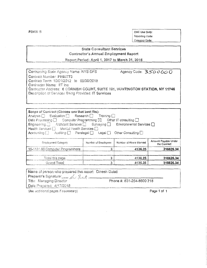OSC Use Only: Reporting Code: Category Code:

## **State Consultant Services** Contractor's Annual Employment Report

Report Period: April 1, 2017 to March 31, 2018

| Contracting State Agency Name: NYS DFS                                       | Agency Code: 3500000 |
|------------------------------------------------------------------------------|----------------------|
| Contract Number: PH66773                                                     |                      |
| Contract Term: 10/01/2012 to 09/30/2018                                      |                      |
| Contractor Name: IIT Inc.                                                    |                      |
| Contractor Address: 6 CORNISH COURT, SUITE 101, HUNTINGTON STATION, NY 11746 |                      |
| Description of Services Being Provided: IT Services                          |                      |

| Scope of Contract (Choose one that best fits):<br>Analysis $\Box$ Evaluation $\Box$ Research $\Box$ Training $\Box$<br>Data Processing $\Box$ Computer Programming $\boxtimes$ Other IT consulting $\Box$<br>Engineering <b>Bullet</b> Architect Services <b>Bullet</b> Surveying <b>Bullet Services Bullet</b> Services <b>Bullet</b> Services <b>Bullet</b> Services <b>Bullet</b> Services <b>Bullet</b> Services <b>Bullet</b> Services <b>Bullet</b> Services <b>Bullet</b> Services <b></b><br>Health Services [ ] Mental Health Services [ ]<br>Accounting $\Box$ Auditing $\Box$ Paralegal $\Box$ Legal $\Box$ Other Consulting $\Box$ |                     |                        |                                      |
|------------------------------------------------------------------------------------------------------------------------------------------------------------------------------------------------------------------------------------------------------------------------------------------------------------------------------------------------------------------------------------------------------------------------------------------------------------------------------------------------------------------------------------------------------------------------------------------------------------------------------------------------|---------------------|------------------------|--------------------------------------|
| Employment Category                                                                                                                                                                                                                                                                                                                                                                                                                                                                                                                                                                                                                            | Number of Employees | Number of Hours Worked | Amount Payable Under<br>the Contract |
| 15-1131.00 Computer Programmers                                                                                                                                                                                                                                                                                                                                                                                                                                                                                                                                                                                                                | 3                   | 4136.25                | 316626.34                            |
|                                                                                                                                                                                                                                                                                                                                                                                                                                                                                                                                                                                                                                                |                     |                        |                                      |
| Total this page                                                                                                                                                                                                                                                                                                                                                                                                                                                                                                                                                                                                                                | 笺                   | 4136.25                | 316626.34                            |
| Grand Total                                                                                                                                                                                                                                                                                                                                                                                                                                                                                                                                                                                                                                    | $\mathcal{L}$       | 4136.25                | 316626.34                            |

| Preparer's Signature www. flot fulit measurement measurement<br>Phone #: 631-254-8600 215<br>Title: Managing Director | Name of person who prepared this report: Dinesh Gulati |  |
|-----------------------------------------------------------------------------------------------------------------------|--------------------------------------------------------|--|
|                                                                                                                       |                                                        |  |
|                                                                                                                       |                                                        |  |
|                                                                                                                       | Date Prepared: 4/17/2018                               |  |

Use additional pages if necessary)

Page 1 of 1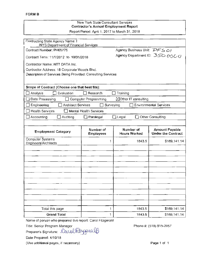### New York State Consultant Services **Contractor's Annual Employment Report**  Report Period: April 1, 2017 to March 31, 2018

| Contracting State Agency Name: I<br>/NYS Department of Financial Services |                               |                                  |                                                    |
|---------------------------------------------------------------------------|-------------------------------|----------------------------------|----------------------------------------------------|
| Contract Number: PH65775                                                  |                               | Agency Business Unit: PFS 01     |                                                    |
| Contract Term: 11/1/2012 to 10/31/2018                                    |                               | Agency Department ID: 350 0000   |                                                    |
| Contractor Name: NTT DATA Inc.                                            |                               |                                  |                                                    |
| Contractor Address: 18 Corporate Woods Blvd.                              |                               |                                  |                                                    |
| Description of Services Being Provided: Consulting Services               |                               |                                  |                                                    |
| Scope of Contract (Choose one that best fits):                            |                               |                                  |                                                    |
| Evaluation<br>Analysis                                                    | Research                      | Training                         |                                                    |
| Data Processing                                                           | Computer Programming          | ⊠Other IT consulting             |                                                    |
| <b>Architect Services</b><br>Engineering                                  | Surveying                     |                                  | <b>Environmental Services</b>                      |
| <b>Health Services</b>                                                    | <b>Mental Health Services</b> |                                  |                                                    |
| Accounting<br>Auditing                                                    | <b>Paralegal</b>              | $\square$ Legal                  | <b>Other Consulting</b>                            |
|                                                                           |                               |                                  |                                                    |
| <b>Employment Category</b>                                                | Number of<br><b>Employees</b> | Number of<br><b>Hours Worked</b> | <b>Amount Payable</b><br><b>Under the Contract</b> |
| <b>Computer Systems</b><br>Engineers/Architects                           | 1                             | 1843.5                           | \$169,141.14                                       |
|                                                                           |                               |                                  |                                                    |
|                                                                           |                               |                                  |                                                    |
|                                                                           |                               |                                  |                                                    |
|                                                                           |                               |                                  |                                                    |
|                                                                           |                               |                                  |                                                    |
|                                                                           |                               |                                  |                                                    |
|                                                                           |                               |                                  |                                                    |
|                                                                           |                               |                                  |                                                    |
|                                                                           |                               |                                  |                                                    |
|                                                                           |                               |                                  |                                                    |
| Total this page                                                           | 1                             | 1843.5                           | \$169,141.14                                       |
| <b>Grand Total</b>                                                        | 1                             | 1843.5                           | \$169,141.14                                       |
| Name of person who prepared this report: Carol Fitzgerald                 |                               |                                  |                                                    |
| Title: Senior Program Manager                                             |                               |                                  | Phone #: (518) 815-2057                            |
| Preparer's Signature: Carollityperal                                      |                               |                                  |                                                    |
| Date Prepared: 4/19/18                                                    |                               |                                  |                                                    |

(Use additional pages, if necessary)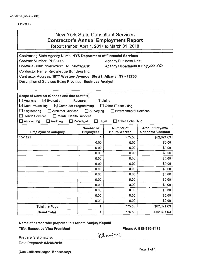# New York State Consultant Services **Contractor's Annual Employment Report**

Report Period: April 1, 2017 to March 31, 2018

| <b>Contracting State Agency Name: NYS Department of Financial Services</b> |                                  |                                         |                                                    |
|----------------------------------------------------------------------------|----------------------------------|-----------------------------------------|----------------------------------------------------|
| Contract Number: PH65776                                                   |                                  | <b>Agency Business Unit:</b>            |                                                    |
| Contract Term: 11/01/2012 to 10/31/2018                                    |                                  | Agency Department ID: 3500000           |                                                    |
| <b>Contractor Name: Knowledge Builders Inc.</b>                            |                                  |                                         |                                                    |
| Contractor Address: 1977 Western Avenue; Ste #1; Albany, NY - 12203        |                                  |                                         |                                                    |
| Description of Services Being Provided: Business Analyst                   |                                  |                                         |                                                    |
|                                                                            |                                  |                                         |                                                    |
|                                                                            |                                  |                                         |                                                    |
| Scope of Contract (Choose one that best fits):                             |                                  |                                         |                                                    |
| $\boxtimes$ Evaluation<br>$\boxtimes$ Analysis                             | $\Box$ Research                  | Training                                |                                                    |
| $\boxtimes$ Data Processing<br>$\boxtimes$ Computer Programming            |                                  | $\Box$ Other IT consulting              |                                                    |
| $\Box$ Engineering<br>$\Box$ Architect Services                            | $\Box$ Surveying                 | Environmental Services                  |                                                    |
| $\exists$ Health Services<br>□ Mental Health Services                      |                                  |                                         |                                                    |
| $\Box$ Accounting<br>Auditing                                              | $\Box$ Paralegal<br>$\Box$ Legal | <b>Other Consulting</b>                 |                                                    |
| <b>Employment Category</b>                                                 | Number of<br><b>Employees</b>    | <b>Number of</b><br><b>Hours Worked</b> | <b>Amount Payable</b><br><b>Under the Contract</b> |
| 15-1121                                                                    | 1                                | 775.50                                  | \$62,621.63                                        |
|                                                                            | 0.00                             | 0.00                                    | \$0.00                                             |
|                                                                            | 0.00                             | 0.00                                    | \$0.00                                             |
|                                                                            | 0.00                             | 0.00                                    | \$0.00                                             |
|                                                                            | 0.00                             | 0.00                                    | \$0.00                                             |
|                                                                            | 0.00                             | 0.00                                    | \$0.00                                             |
|                                                                            | 0.00                             | 0.00                                    | \$0.00                                             |
|                                                                            | 0.00                             | 0.00                                    | \$0.00                                             |
|                                                                            |                                  |                                         |                                                    |
|                                                                            | 0.00                             | 0.00                                    | \$0.00                                             |
|                                                                            | 0.00                             | 0.00                                    | \$0,00                                             |
|                                                                            | 0.00                             | 0.00                                    | \$0.00                                             |
|                                                                            | 0.00                             | 0.00                                    | \$0.00                                             |
|                                                                            | 0.00                             | 0.00                                    | \$0.00                                             |
| Total this Page                                                            | 1                                | 775.50                                  | \$62,621.63                                        |

Name of person who prepared this report: Sanjay Kapalli

Title: Executive Vice President

Phone#: 518-810-7478

Preparer's Signature: ---------

Klanjery

Date Prepared: 04/18/2018

(Use additional pages, if necessary)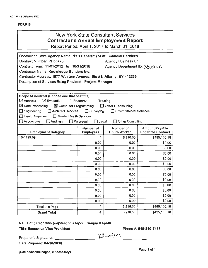# New York State Consultant Services **Contractor's Annual Employment Report**

Report Period: April 1, 2017 to March 31, 2018

| Contracting State Agency Name: NYS Department of Financial Services |                               |                                  |                                                    |
|---------------------------------------------------------------------|-------------------------------|----------------------------------|----------------------------------------------------|
| Contract Number: PH65776                                            |                               | <b>Agency Business Unit:</b>     |                                                    |
| Contract Term: 11/01/2012 to 10/31/2018                             |                               | Agency Department ID: 3500000    |                                                    |
| <b>Contractor Name: Knowledge Builders Inc.</b>                     |                               |                                  |                                                    |
| Contractor Address: 1977 Western Avenue; Ste #1; Albany, NY - 12203 |                               |                                  |                                                    |
| Description of Services Being Provided: Project Manager             |                               |                                  |                                                    |
|                                                                     |                               |                                  |                                                    |
|                                                                     |                               |                                  |                                                    |
| Scope of Contract (Choose one that best fits):                      |                               |                                  |                                                    |
| $\boxtimes$ Analysis<br>$\boxtimes$ Evaluation                      | $\Box$ Research               | Training                         |                                                    |
| $\boxtimes$ Data Processing<br>$\boxtimes$ Computer Programming     |                               | □ Other IT consulting            |                                                    |
| $\Box$ Engineering<br>Architect Services                            | $\Box$ Surveying              | Environmental Services           |                                                    |
| $\Box$ Health Services<br>□ Mental Health Services                  |                               |                                  |                                                    |
| Accounting<br>Auditing                                              | Paralegal<br>Legal            | <b>Other Consulting</b>          |                                                    |
| <b>Employment Category</b>                                          | Number of<br><b>Employees</b> | Number of<br><b>Hours Worked</b> | <b>Amount Payable</b><br><b>Under the Contract</b> |
| 15-1199.09                                                          | 4                             | 5,216.50                         | \$495,150.18                                       |
|                                                                     | 0.00                          | 0.00                             | \$0.00                                             |
|                                                                     | 0.00                          | 0.00                             | \$0.00                                             |
|                                                                     | 0.00                          | 0.00                             | \$0.00                                             |
|                                                                     | 0.00                          | 0.00                             | \$0.00                                             |
|                                                                     | 0.00                          | 0.00                             | \$0.00                                             |
|                                                                     | 0.00                          | 0.00                             | \$0.00                                             |
|                                                                     | 0.00                          | 0.00                             | \$0.00                                             |
|                                                                     | 0.00                          | 0.00                             | \$0.00                                             |
|                                                                     | 0.00                          | 0.00                             | \$0.00                                             |
|                                                                     | 0.00                          | 0.00                             | \$0.00                                             |
|                                                                     | 0.00                          | 0.00                             | \$0.00                                             |
|                                                                     |                               |                                  |                                                    |
|                                                                     | 0.00                          | 0.00                             | \$0.00                                             |
| <b>Total this Page</b>                                              | 4                             | 5,216.50                         | \$495,150.18                                       |

Name of person who prepared this report: Sanjay Kapalli

Title: Executive Vice President

Phone#: 518·810-7478

Preparer's Signature: ---------

Klemjay

Date Prepared: 04/18/2018

(Use additional pages. if necessary)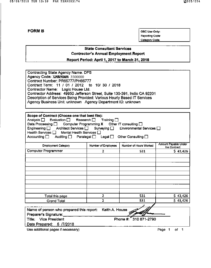OSC Use Only: **Reporting Code:** Category Code:

# **State Consultant Services Contractor's Annual Employment Report**

Report Perlod: April 1, 2017 to March 31, 2018

| Contracting State Agency Name: DFS                                        |  |
|---------------------------------------------------------------------------|--|
| Agency Code: XIXIXIXXIX 3500000                                           |  |
| Contract Number: PR65777/PH65777                                          |  |
| Contract Term: 11 / 01 / 2012 to 10/ 30 / 2018                            |  |
| Contractor Name: Logic House Ltd.                                         |  |
| Contractor Address: 49950 Jefferson Street, Suite 130-391, Indio CA 92201 |  |
| Description of Services Being Provided: Various Hourly Based IT Services  |  |
| Agency Business Unit: unknown Agency Department ID: unknown               |  |
|                                                                           |  |

| Scope of Contract (Choose one that best fits):                           |                                                 |                        |                                      |
|--------------------------------------------------------------------------|-------------------------------------------------|------------------------|--------------------------------------|
| Analysis □ Evaluation □ Research □ Training □                            |                                                 |                        |                                      |
| Data Processing $\Box$ Computer Programming X Other IT consulting $\Box$ |                                                 |                        |                                      |
| Engineering □ Architect Services □ Surveying □ Environmental Services □  |                                                 |                        |                                      |
| Health Services □ Mental Health Services □                               |                                                 |                        |                                      |
| Accounting $\Box$                                                        | Auditing   Paralegal   Legal   Other Consulting |                        |                                      |
| <b>Employment Category</b>                                               | Number of Employees                             | Number of Hours Worked | Amount Payable Under<br>the Contract |
| Computer Programmer                                                      | 2                                               | 531                    | \$43,426                             |
|                                                                          |                                                 |                        |                                      |
|                                                                          |                                                 |                        |                                      |
|                                                                          |                                                 |                        |                                      |
|                                                                          |                                                 |                        |                                      |
|                                                                          |                                                 |                        |                                      |
|                                                                          |                                                 |                        |                                      |
|                                                                          |                                                 |                        |                                      |
|                                                                          |                                                 |                        |                                      |
| Total this page                                                          | 2                                               | 531                    | \$43,426                             |
| <b>Grand Total</b>                                                       | 2                                               | 531                    | \$43,426                             |
|                                                                          |                                                 |                        |                                      |
| Name of person who prepared this report:                                 | Keith A. House                                  |                        |                                      |
| Preparer's Signature: ________                                           |                                                 |                        |                                      |
| Title: Vice President                                                    |                                                 | Phone #: 210 871-2790  |                                      |

Date Prepared: 5 /7/2018

Use additional pages if necessary)

Page 1 of 1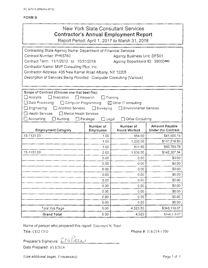|                                                                                                                                                                                                                                                                                                                                                                                                 |                                                                         | <b>New York State Consultant Services</b><br><b>Contractor's Annual Employment Report</b><br>Report Period: April 1, 2017 to March 31, 2018 |                                                    |
|-------------------------------------------------------------------------------------------------------------------------------------------------------------------------------------------------------------------------------------------------------------------------------------------------------------------------------------------------------------------------------------------------|-------------------------------------------------------------------------|---------------------------------------------------------------------------------------------------------------------------------------------|----------------------------------------------------|
| Contracting State Agency Name: Department of Financial Services<br>Contract Number: PH65780<br><b>Agency Business Unit: DFS01</b><br>Contract Term: 11/1/2012 to 10/31/2018<br>Agency Department ID: 3500060<br>Contractor Name: MVP Consulting Plus, Inc.<br>Contractor Address: 435 New Karner Road Albany, NY 12205<br>Description of Services Being Provided: Computer Consulting (Various) |                                                                         |                                                                                                                                             |                                                    |
| Scope of Contract (Choose one that best fits):<br>$\Box$ Evaluation<br>∐ Analysis,<br>□ Data Processing<br>Computer Programming<br>$\Box$ Engineering<br>Architect Services<br>$\Box$ Health Services<br>Mental Health Services<br>$\Box$ Accounting<br>$\Box$ Auditing                                                                                                                         | $\Box$ Research<br>$\Box$ Surveying<br>$\Box$ Paralegal<br>$\Box$ Legal | Training<br>$\boxtimes$ Other IT consulting<br><b>Environmental Services</b><br>Other Consulting                                            |                                                    |
|                                                                                                                                                                                                                                                                                                                                                                                                 | Number of                                                               | Number of                                                                                                                                   |                                                    |
| <b>Employment Category</b>                                                                                                                                                                                                                                                                                                                                                                      | Employees                                                               | <b>Hours Worked</b>                                                                                                                         | <b>Amount Payable</b><br><b>Under the Contract</b> |
| 15-1121.00                                                                                                                                                                                                                                                                                                                                                                                      | 1.00                                                                    | 554.00                                                                                                                                      | \$41,500.15                                        |
|                                                                                                                                                                                                                                                                                                                                                                                                 | 1.00                                                                    | 1,232.00                                                                                                                                    | \$101,516.80                                       |
|                                                                                                                                                                                                                                                                                                                                                                                                 | 1.00                                                                    | 801.50                                                                                                                                      | \$60,793.78                                        |
| 15-1151.00                                                                                                                                                                                                                                                                                                                                                                                      | 2.00                                                                    | 1,938.00                                                                                                                                    | \$142,307.34                                       |
|                                                                                                                                                                                                                                                                                                                                                                                                 | 0.00                                                                    | 0.00                                                                                                                                        | \$0.00                                             |
|                                                                                                                                                                                                                                                                                                                                                                                                 | 0.00                                                                    | 0.00                                                                                                                                        | \$0.00                                             |
|                                                                                                                                                                                                                                                                                                                                                                                                 | 0.00                                                                    | 0.00                                                                                                                                        | \$0.00                                             |
|                                                                                                                                                                                                                                                                                                                                                                                                 | 0.00                                                                    | 0.00                                                                                                                                        | \$0.00                                             |
|                                                                                                                                                                                                                                                                                                                                                                                                 | 0.00                                                                    | 0.00                                                                                                                                        | \$0.00                                             |
|                                                                                                                                                                                                                                                                                                                                                                                                 | 0.00                                                                    | 0.00                                                                                                                                        | \$0.00                                             |
|                                                                                                                                                                                                                                                                                                                                                                                                 | 0.00                                                                    | 0.00                                                                                                                                        | \$0.00                                             |
|                                                                                                                                                                                                                                                                                                                                                                                                 | 0.00                                                                    | 0.00                                                                                                                                        | \$0.00                                             |
|                                                                                                                                                                                                                                                                                                                                                                                                 | 0.00                                                                    | 0.00                                                                                                                                        | \$0.00                                             |
| Total this Page<br><b>Grand Total</b>                                                                                                                                                                                                                                                                                                                                                           | 5.00<br>5.00                                                            | 4,525.50<br>4,525                                                                                                                           | \$346,118.07<br>\$346,118.07                       |

Name of person who prepared this report: Ilakumari N. Patel

Title: CEO CFO

Phone #: 518-218-1700

Preparer's Signature:  $\frac{\sum_{i=1}^{n} \int_{\mathcal{L}} \sum_{i=1}^{n} \sum_{j=1}^{n} \sum_{j=1}^{n} \sum_{j=1}^{n} \sum_{j=1}^{n} \sum_{j=1}^{n} \sum_{j=1}^{n} \sum_{j=1}^{n} \sum_{j=1}^{n} \sum_{j=1}^{n} \sum_{j=1}^{n} \sum_{j=1}^{n} \sum_{j=1}^{n} \sum_{j=1}^{n} \sum_{j=1}^{n} \sum_{j=1}^{n} \sum_{j=1}^{n} \sum_{j=1}^{$ Date Prepared: 4/13/2018

(Use additional pages, if necessary)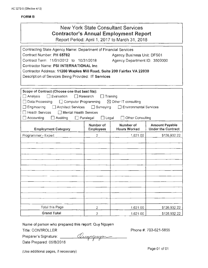|                                                                                                  |                               | <b>New York State Consultant Services</b><br><b>Contractor's Annual Employment Report</b><br>Report Period: April 1, 2017 to March 31, 2018 |                                                    |
|--------------------------------------------------------------------------------------------------|-------------------------------|---------------------------------------------------------------------------------------------------------------------------------------------|----------------------------------------------------|
| Contracting State Agency Name: Department of Financial Services                                  |                               |                                                                                                                                             |                                                    |
| Contract Number: PH 65782                                                                        |                               | <b>Agency Business Unit: DFS01</b>                                                                                                          |                                                    |
| Contract Term: 11/01/2012 to 10/31/2018                                                          |                               | Agency Department ID: 3500000                                                                                                               |                                                    |
| Contractor Name: PSI INTERNATIONAL Inc.                                                          |                               |                                                                                                                                             |                                                    |
| Contractor Address: 11200 Waples Mill Road, Suite 200 Fairfax VA 22030                           |                               |                                                                                                                                             |                                                    |
| Description of Services Being Provided: IT Services                                              |                               |                                                                                                                                             |                                                    |
|                                                                                                  |                               |                                                                                                                                             |                                                    |
|                                                                                                  |                               |                                                                                                                                             |                                                    |
| Scope of Contract (Choose one that best fits):                                                   |                               |                                                                                                                                             |                                                    |
| $\Box$ Analysis<br>$\Box$ Evaluation                                                             | $\Box$ Research               | Training                                                                                                                                    |                                                    |
| □ Data Processing<br>$\Box$ Computer Programming                                                 |                               | $\boxtimes$ Other IT consulting                                                                                                             |                                                    |
| $\Box$ Engineering $\Box$ Architect Services<br>$\Box$ Health Services<br>Mental Health Services | $\Box$ Surveying              | Environmental Services                                                                                                                      |                                                    |
| Accounting<br>Auditing                                                                           | $\Box$ Legal                  | Other Consulting                                                                                                                            |                                                    |
|                                                                                                  | Paralegal                     |                                                                                                                                             |                                                    |
| <b>Employment Category</b>                                                                       | Number of<br><b>Employees</b> | Number of<br><b>Hours Worked</b>                                                                                                            | <b>Amount Payable</b><br><b>Under the Contract</b> |
| Programmer - Expert                                                                              | $\overline{2}$                | 1,621.00                                                                                                                                    | \$126,932.22                                       |
|                                                                                                  |                               |                                                                                                                                             |                                                    |
|                                                                                                  |                               |                                                                                                                                             |                                                    |
|                                                                                                  |                               |                                                                                                                                             |                                                    |
|                                                                                                  |                               |                                                                                                                                             |                                                    |
|                                                                                                  |                               |                                                                                                                                             |                                                    |
|                                                                                                  |                               |                                                                                                                                             |                                                    |
|                                                                                                  |                               |                                                                                                                                             |                                                    |
|                                                                                                  |                               |                                                                                                                                             |                                                    |
|                                                                                                  |                               |                                                                                                                                             |                                                    |
|                                                                                                  |                               |                                                                                                                                             |                                                    |
|                                                                                                  |                               |                                                                                                                                             |                                                    |
|                                                                                                  |                               |                                                                                                                                             |                                                    |
| Total this Page                                                                                  | $\boldsymbol{2}$              | 1,621.00                                                                                                                                    | \$126,932.22                                       |
| <b>Grand Total</b>                                                                               | $\overline{c}$                | 1,621.00                                                                                                                                    | \$126,932.22                                       |

Name of person who prepared this report: Quy Nguyen

Orryny

Title: CONTROLLER

Phone#: 703-621-5855

Preparer's Signature: \_\_\_\_ Date Prepared: 05/8/2018

(Use additional pages, if necessary)